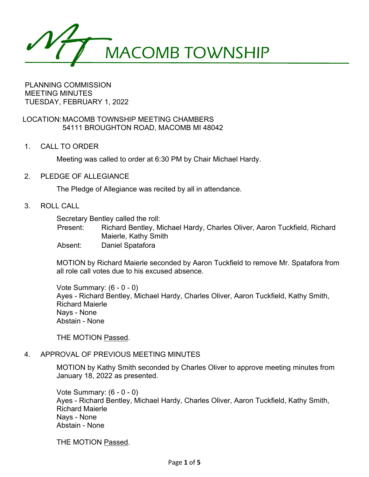MACOMB TOWNSHIP

PLANNING COMMISSION MEETING MINUTES TUESDAY, FEBRUARY 1, 2022

LOCATION:MACOMB TOWNSHIP MEETING CHAMBERS 54111 BROUGHTON ROAD, MACOMB MI 48042

1. CALL TO ORDER

Meeting was called to order at 6:30 PM by Chair Michael Hardy.

2. PLEDGE OF ALLEGIANCE

The Pledge of Allegiance was recited by all in attendance.

3. ROLL CALL

Secretary Bentley called the roll:

Present: Richard Bentley, Michael Hardy, Charles Oliver, Aaron Tuckfield, Richard Maierle, Kathy Smith

Absent: Daniel Spatafora

MOTION by Richard Maierle seconded by Aaron Tuckfield to remove Mr. Spatafora from all role call votes due to his excused absence.

Vote Summary: (6 - 0 - 0) Ayes - Richard Bentley, Michael Hardy, Charles Oliver, Aaron Tuckfield, Kathy Smith, Richard Maierle Nays - None Abstain - None

THE MOTION Passed.

# 4. APPROVAL OF PREVIOUS MEETING MINUTES

MOTION by Kathy Smith seconded by Charles Oliver to approve meeting minutes from January 18, 2022 as presented.

Vote Summary: (6 - 0 - 0) Ayes - Richard Bentley, Michael Hardy, Charles Oliver, Aaron Tuckfield, Kathy Smith, Richard Maierle Nays - None Abstain - None

THE MOTION Passed.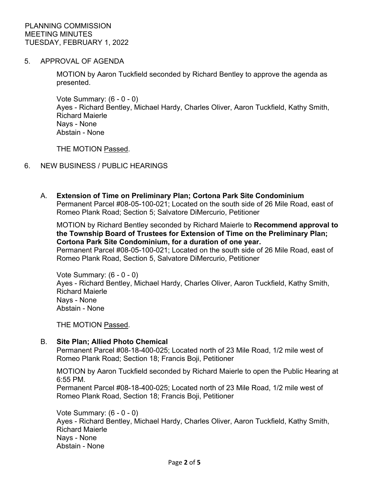5. APPROVAL OF AGENDA

MOTION by Aaron Tuckfield seconded by Richard Bentley to approve the agenda as presented.

Vote Summary: (6 - 0 - 0) Ayes - Richard Bentley, Michael Hardy, Charles Oliver, Aaron Tuckfield, Kathy Smith, Richard Maierle Nays - None Abstain - None

THE MOTION Passed.

# 6. NEW BUSINESS / PUBLIC HEARINGS

A. **Extension of Time on Preliminary Plan; Cortona Park Site Condominium** Permanent Parcel #08-05-100-021; Located on the south side of 26 Mile Road, east of Romeo Plank Road; Section 5; Salvatore DiMercurio, Petitioner

MOTION by Richard Bentley seconded by Richard Maierle to **Recommend approval to the Township Board of Trustees for Extension of Time on the Preliminary Plan; Cortona Park Site Condominium, for a duration of one year.** Permanent Parcel #08-05-100-021; Located on the south side of 26 Mile Road, east of Romeo Plank Road, Section 5, Salvatore DiMercurio, Petitioner

Vote Summary: (6 - 0 - 0) Ayes - Richard Bentley, Michael Hardy, Charles Oliver, Aaron Tuckfield, Kathy Smith, Richard Maierle Nays - None Abstain - None

THE MOTION Passed.

# B. **Site Plan; Allied Photo Chemical**

Permanent Parcel #08-18-400-025; Located north of 23 Mile Road, 1/2 mile west of Romeo Plank Road; Section 18; Francis Boji, Petitioner

MOTION by Aaron Tuckfield seconded by Richard Maierle to open the Public Hearing at 6:55 PM.

Permanent Parcel #08-18-400-025; Located north of 23 Mile Road, 1/2 mile west of Romeo Plank Road, Section 18; Francis Boji, Petitioner

Vote Summary: (6 - 0 - 0) Ayes - Richard Bentley, Michael Hardy, Charles Oliver, Aaron Tuckfield, Kathy Smith, Richard Maierle Nays - None Abstain - None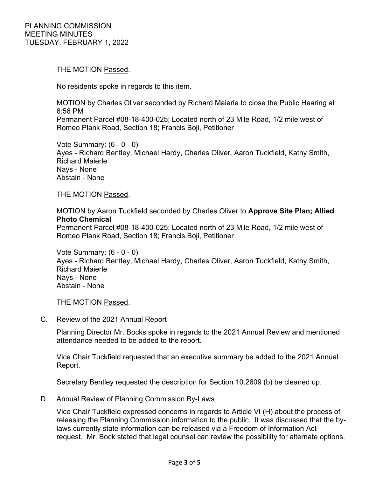THE MOTION Passed.

No residents spoke in regards to this item.

MOTION by Charles Oliver seconded by Richard Maierle to close the Public Hearing at 6:56 PM Permanent Parcel #08-18-400-025; Located north of 23 Mile Road, 1/2 mile west of Romeo Plank Road, Section 18; Francis Boji, Petitioner

Vote Summary: (6 - 0 - 0) Ayes - Richard Bentley, Michael Hardy, Charles Oliver, Aaron Tuckfield, Kathy Smith, Richard Maierle Nays - None Abstain - None

THE MOTION Passed.

MOTION by Aaron Tuckfield seconded by Charles Oliver to **Approve Site Plan; Allied Photo Chemical**

Permanent Parcel #08-18-400-025; Located north of 23 Mile Road, 1/2 mile west of Romeo Plank Road, Section 18; Francis Boji, Petitioner

Vote Summary: (6 - 0 - 0) Ayes - Richard Bentley, Michael Hardy, Charles Oliver, Aaron Tuckfield, Kathy Smith, Richard Maierle Nays - None Abstain - None

THE MOTION Passed.

C. Review of the 2021 Annual Report

Planning Director Mr. Bocks spoke in regards to the 2021 Annual Review and mentioned attendance needed to be added to the report.

Vice Chair Tuckfield requested that an executive summary be added to the 2021 Annual Report.

Secretary Bentley requested the description for Section 10.2609 (b) be cleaned up.

D. Annual Review of Planning Commission By-Laws

Vice Chair Tuckfield expressed concerns in regards to Article VI (H) about the process of releasing the Planning Commission information to the public. It was discussed that the bylaws currently state information can be released via a Freedom of Information Act request. Mr. Bock stated that legal counsel can review the possibility for alternate options.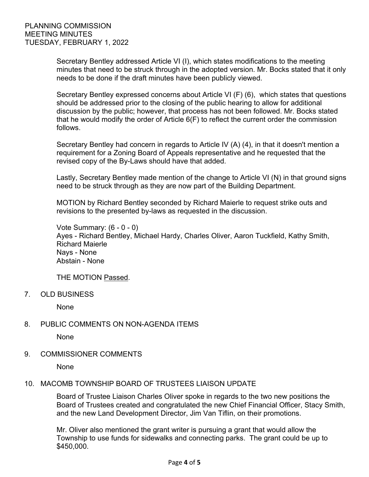Secretary Bentley addressed Article VI (I), which states modifications to the meeting minutes that need to be struck through in the adopted version. Mr. Bocks stated that it only needs to be done if the draft minutes have been publicly viewed.

Secretary Bentley expressed concerns about Article VI (F) (6), which states that questions should be addressed prior to the closing of the public hearing to allow for additional discussion by the public; however, that process has not been followed. Mr. Bocks stated that he would modify the order of Article 6(F) to reflect the current order the commission follows.

Secretary Bentley had concern in regards to Article IV (A) (4), in that it doesn't mention a requirement for a Zoning Board of Appeals representative and he requested that the revised copy of the By-Laws should have that added.

Lastly, Secretary Bentley made mention of the change to Article VI (N) in that ground signs need to be struck through as they are now part of the Building Department.

MOTION by Richard Bentley seconded by Richard Maierle to request strike outs and revisions to the presented by-laws as requested in the discussion.

Vote Summary: (6 - 0 - 0) Ayes - Richard Bentley, Michael Hardy, Charles Oliver, Aaron Tuckfield, Kathy Smith, Richard Maierle Nays - None Abstain - None

THE MOTION Passed.

7. OLD BUSINESS

None

8. PUBLIC COMMENTS ON NON-AGENDA ITEMS

None

9. COMMISSIONER COMMENTS

None

# 10. MACOMB TOWNSHIP BOARD OF TRUSTEES LIAISON UPDATE

Board of Trustee Liaison Charles Oliver spoke in regards to the two new positions the Board of Trustees created and congratulated the new Chief Financial Officer, Stacy Smith, and the new Land Development Director, Jim Van Tiflin, on their promotions.

Mr. Oliver also mentioned the grant writer is pursuing a grant that would allow the Township to use funds for sidewalks and connecting parks. The grant could be up to \$450,000.